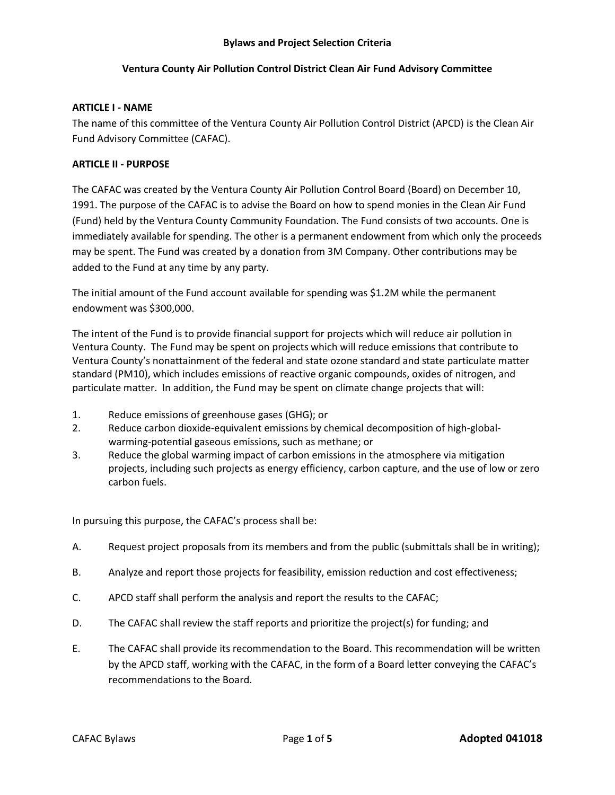# **Ventura County Air Pollution Control District Clean Air Fund Advisory Committee**

## **ARTICLE I - NAME**

The name of this committee of the Ventura County Air Pollution Control District (APCD) is the Clean Air Fund Advisory Committee (CAFAC).

### **ARTICLE II - PURPOSE**

The CAFAC was created by the Ventura County Air Pollution Control Board (Board) on December 10, 1991. The purpose of the CAFAC is to advise the Board on how to spend monies in the Clean Air Fund (Fund) held by the Ventura County Community Foundation. The Fund consists of two accounts. One is immediately available for spending. The other is a permanent endowment from which only the proceeds may be spent. The Fund was created by a donation from 3M Company. Other contributions may be added to the Fund at any time by any party.

The initial amount of the Fund account available for spending was \$1.2M while the permanent endowment was \$300,000.

The intent of the Fund is to provide financial support for projects which will reduce air pollution in Ventura County. The Fund may be spent on projects which will reduce emissions that contribute to Ventura County's nonattainment of the federal and state ozone standard and state particulate matter standard (PM10), which includes emissions of reactive organic compounds, oxides of nitrogen, and particulate matter. In addition, the Fund may be spent on climate change projects that will:

- 1. Reduce emissions of greenhouse gases (GHG); or
- 2. Reduce carbon dioxide-equivalent emissions by chemical decomposition of high-globalwarming-potential gaseous emissions, such as methane; or
- 3. Reduce the global warming impact of carbon emissions in the atmosphere via mitigation projects, including such projects as energy efficiency, carbon capture, and the use of low or zero carbon fuels.

In pursuing this purpose, the CAFAC's process shall be:

- A. Request project proposals from its members and from the public (submittals shall be in writing);
- B. Analyze and report those projects for feasibility, emission reduction and cost effectiveness;
- C. APCD staff shall perform the analysis and report the results to the CAFAC;
- D. The CAFAC shall review the staff reports and prioritize the project(s) for funding; and
- E. The CAFAC shall provide its recommendation to the Board. This recommendation will be written by the APCD staff, working with the CAFAC, in the form of a Board letter conveying the CAFAC's recommendations to the Board.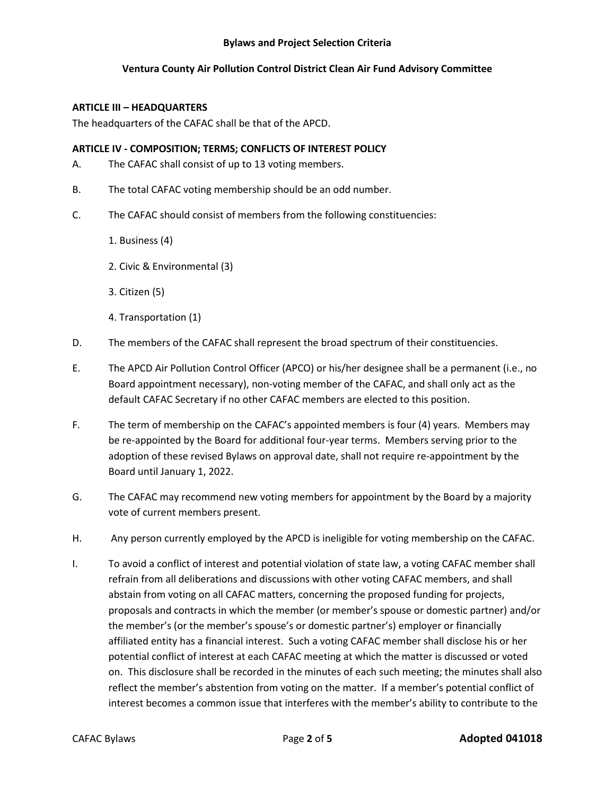# **Ventura County Air Pollution Control District Clean Air Fund Advisory Committee**

## **ARTICLE III – HEADQUARTERS**

The headquarters of the CAFAC shall be that of the APCD.

### **ARTICLE IV - COMPOSITION; TERMS; CONFLICTS OF INTEREST POLICY**

- A. The CAFAC shall consist of up to 13 voting members.
- B. The total CAFAC voting membership should be an odd number.
- C. The CAFAC should consist of members from the following constituencies:
	- 1. Business (4)
	- 2. Civic & Environmental (3)
	- 3. Citizen (5)
	- 4. Transportation (1)
- D. The members of the CAFAC shall represent the broad spectrum of their constituencies.
- E. The APCD Air Pollution Control Officer (APCO) or his/her designee shall be a permanent (i.e., no Board appointment necessary), non-voting member of the CAFAC, and shall only act as the default CAFAC Secretary if no other CAFAC members are elected to this position.
- F. The term of membership on the CAFAC's appointed members is four (4) years. Members may be re-appointed by the Board for additional four-year terms. Members serving prior to the adoption of these revised Bylaws on approval date, shall not require re-appointment by the Board until January 1, 2022.
- G. The CAFAC may recommend new voting members for appointment by the Board by a majority vote of current members present.
- H. Any person currently employed by the APCD is ineligible for voting membership on the CAFAC.
- I. To avoid a conflict of interest and potential violation of state law, a voting CAFAC member shall refrain from all deliberations and discussions with other voting CAFAC members, and shall abstain from voting on all CAFAC matters, concerning the proposed funding for projects, proposals and contracts in which the member (or member's spouse or domestic partner) and/or the member's (or the member's spouse's or domestic partner's) employer or financially affiliated entity has a financial interest. Such a voting CAFAC member shall disclose his or her potential conflict of interest at each CAFAC meeting at which the matter is discussed or voted on. This disclosure shall be recorded in the minutes of each such meeting; the minutes shall also reflect the member's abstention from voting on the matter. If a member's potential conflict of interest becomes a common issue that interferes with the member's ability to contribute to the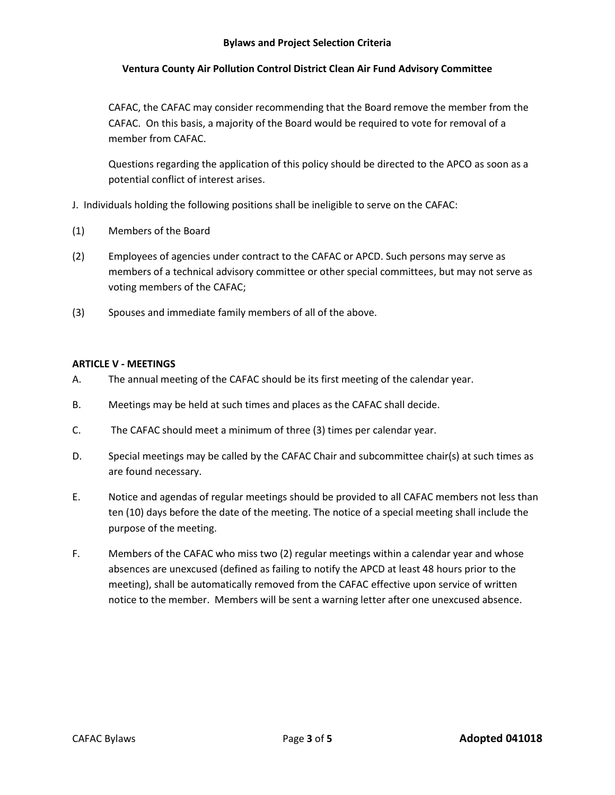# **Ventura County Air Pollution Control District Clean Air Fund Advisory Committee**

CAFAC, the CAFAC may consider recommending that the Board remove the member from the CAFAC. On this basis, a majority of the Board would be required to vote for removal of a member from CAFAC.

Questions regarding the application of this policy should be directed to the APCO as soon as a potential conflict of interest arises.

- J. Individuals holding the following positions shall be ineligible to serve on the CAFAC:
- (1) Members of the Board
- (2) Employees of agencies under contract to the CAFAC or APCD. Such persons may serve as members of a technical advisory committee or other special committees, but may not serve as voting members of the CAFAC;
- (3) Spouses and immediate family members of all of the above.

## **ARTICLE V - MEETINGS**

- A. The annual meeting of the CAFAC should be its first meeting of the calendar year.
- B. Meetings may be held at such times and places as the CAFAC shall decide.
- C. The CAFAC should meet a minimum of three (3) times per calendar year.
- D. Special meetings may be called by the CAFAC Chair and subcommittee chair(s) at such times as are found necessary.
- E. Notice and agendas of regular meetings should be provided to all CAFAC members not less than ten (10) days before the date of the meeting. The notice of a special meeting shall include the purpose of the meeting.
- F. Members of the CAFAC who miss two (2) regular meetings within a calendar year and whose absences are unexcused (defined as failing to notify the APCD at least 48 hours prior to the meeting), shall be automatically removed from the CAFAC effective upon service of written notice to the member. Members will be sent a warning letter after one unexcused absence.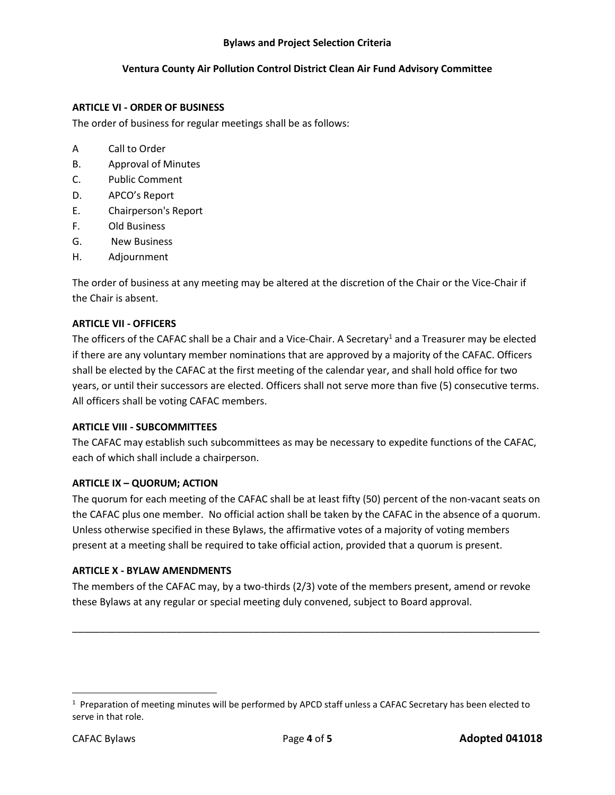# **Ventura County Air Pollution Control District Clean Air Fund Advisory Committee**

## **ARTICLE VI - ORDER OF BUSINESS**

The order of business for regular meetings shall be as follows:

- A Call to Order
- B. Approval of Minutes
- C. Public Comment
- D. APCO's Report
- E. Chairperson's Report
- F. Old Business
- G. New Business
- H. Adjournment

The order of business at any meeting may be altered at the discretion of the Chair or the Vice-Chair if the Chair is absent.

### **ARTICLE VII - OFFICERS**

The officers of the CAFAC shall be a Chair and a Vice-Chair. A Secretary<sup>1</sup> and a Treasurer may be elected if there are any voluntary member nominations that are approved by a majority of the CAFAC. Officers shall be elected by the CAFAC at the first meeting of the calendar year, and shall hold office for two years, or until their successors are elected. Officers shall not serve more than five (5) consecutive terms. All officers shall be voting CAFAC members.

# **ARTICLE VIII - SUBCOMMITTEES**

The CAFAC may establish such subcommittees as may be necessary to expedite functions of the CAFAC, each of which shall include a chairperson.

#### **ARTICLE IX – QUORUM; ACTION**

The quorum for each meeting of the CAFAC shall be at least fifty (50) percent of the non-vacant seats on the CAFAC plus one member. No official action shall be taken by the CAFAC in the absence of a quorum. Unless otherwise specified in these Bylaws, the affirmative votes of a majority of voting members present at a meeting shall be required to take official action, provided that a quorum is present.

# **ARTICLE X - BYLAW AMENDMENTS**

The members of the CAFAC may, by a two-thirds (2/3) vote of the members present, amend or revoke these Bylaws at any regular or special meeting duly convened, subject to Board approval.

\_\_\_\_\_\_\_\_\_\_\_\_\_\_\_\_\_\_\_\_\_\_\_\_\_\_\_\_\_\_\_\_\_\_\_\_\_\_\_\_\_\_\_\_\_\_\_\_\_\_\_\_\_\_\_\_\_\_\_\_\_\_\_\_\_\_\_\_\_\_\_\_\_\_\_\_\_\_\_\_\_\_\_\_\_

 $\overline{\phantom{a}}$ 

<sup>&</sup>lt;sup>1</sup> Preparation of meeting minutes will be performed by APCD staff unless a CAFAC Secretary has been elected to serve in that role.